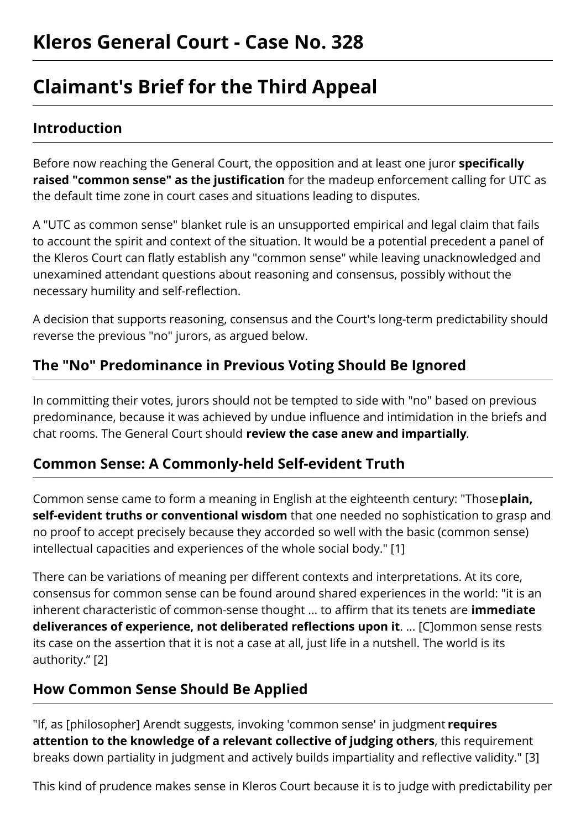# **Claimant's Brief for the Third Appeal**

#### **Introduction**

Before now reaching the General Court, the opposition and at least one juror **specifically raised "common sense" as the justification** for the madeup enforcement calling for UTC as the default time zone in court cases and situations leading to disputes.

A "UTC as common sense" blanket rule is an unsupported empirical and legal claim that fails to account the spirit and context of the situation. It would be a potential precedent a panel of the Kleros Court can flatly establish any "common sense" while leaving unacknowledged and unexamined attendant questions about reasoning and consensus, possibly without the necessary humility and self-reflection.

A decision that supports reasoning, consensus and the Court's long-term predictability should reverse the previous "no" jurors, as argued below.

## **The "No" Predominance in Previous Voting Should Be Ignored**

In committing their votes, jurors should not be tempted to side with "no" based on previous predominance, because it was achieved by undue influence and intimidation in the briefs and chat rooms. The General Court should **review the case anew and impartially**.

#### **Common Sense: A Commonly-held Self-evident Truth**

Common sense came to form a meaning in English at the eighteenth century: "Those**plain, self-evident truths or conventional wisdom** that one needed no sophistication to grasp and no proof to accept precisely because they accorded so well with the basic (common sense) intellectual capacities and experiences of the whole social body." [1]

There can be variations of meaning per different contexts and interpretations. At its core, consensus for common sense can be found around shared experiences in the world: "it is an inherent characteristic of common-sense thought ... to affirm that its tenets are **immediate deliverances of experience, not deliberated reflections upon it**. ... [C]ommon sense rests its case on the assertion that it is not a case at all, just life in a nutshell. The world is its authority." [2]

## **How Common Sense Should Be Applied**

"If, as [philosopher] Arendt suggests, invoking 'common sense' in judgment **requires attention to the knowledge of a relevant collective of judging others**, this requirement breaks down partiality in judgment and actively builds impartiality and reflective validity." [3]

This kind of prudence makes sense in Kleros Court because it is to judge with predictability per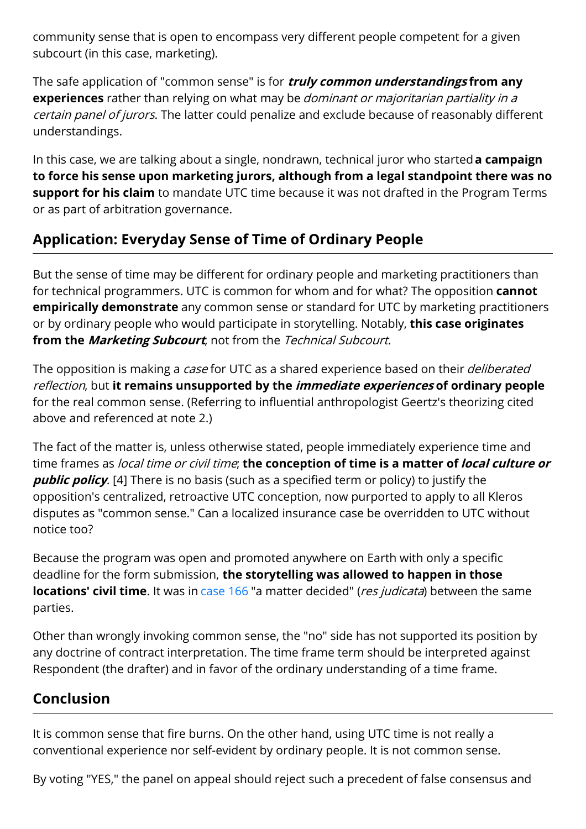community sense that is open to encompass very different people competent for a given subcourt (in this case, marketing).

The safe application of "common sense" is for **truly common understandings from any experiences** rather than relying on what may be dominant or majoritarian partiality in <sup>a</sup> certain panel of jurors. The latter could penalize and exclude because of reasonably different understandings.

In this case, we are talking about a single, nondrawn, technical juror who started**a campaign to force his sense upon marketing jurors, although from a legal standpoint there was no support for his claim** to mandate UTC time because it was not drafted in the Program Terms or as part of arbitration governance.

## **Application: Everyday Sense of Time of Ordinary People**

But the sense of time may be different for ordinary people and marketing practitioners than for technical programmers. UTC is common for whom and for what? The opposition **cannot empirically demonstrate** any common sense or standard for UTC by marketing practitioners or by ordinary people who would participate in storytelling. Notably, **this case originates from the Marketing Subcourt**, not from the Technical Subcourt.

The opposition is making a *case* for UTC as a shared experience based on their *deliberated* reflection, but **it remains unsupported by the immediate experiences of ordinary people** for the real common sense. (Referring to influential anthropologist Geertz's theorizing cited above and referenced at note 2.)

The fact of the matter is, unless otherwise stated, people immediately experience time and time frames as local time or civil time; **the conception of time is a matter oflocal culture or public policy**. [4] There is no basis (such as a specified term or policy) to justify the opposition's centralized, retroactive UTC conception, now purported to apply to all Kleros disputes as "common sense." Can a localized insurance case be overridden to UTC without notice too?

Because the program was open and promoted anywhere on Earth with only a specific deadline for the form submission, **the storytelling was allowed to happen in those locations' civil time**. It was in [case](https://resolve.kleros.io/cases/166) 166 "a matter decided" (*res judicata*) between the same parties.

Other than wrongly invoking common sense, the "no" side has not supported its position by any doctrine of contract interpretation. The time frame term should be interpreted against Respondent (the drafter) and in favor of the ordinary understanding of a time frame.

## **Conclusion**

It is common sense that fire burns. On the other hand, using UTC time is not really a conventional experience nor self-evident by ordinary people. It is not common sense.

By voting "YES," the panel on appeal should reject such a precedent of false consensus and